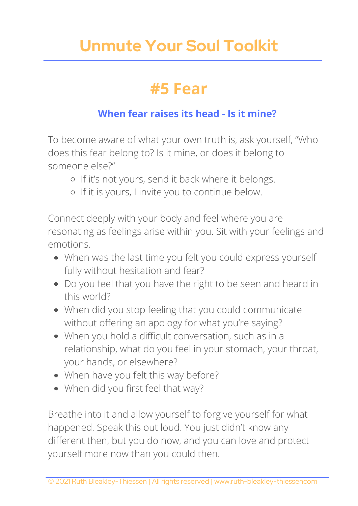### **#5 Fear**

#### **When fear raises its head - Is it mine?**

To become aware of what your own truth is, ask yourself, "Who does this fear belong to? Is it mine, or does it belong to someone else?"

- o If it's not yours, send it back where it belongs.
- o If it is yours, I invite you to continue below.

Connect deeply with your body and feel where you are resonating as feelings arise within you. Sit with your feelings and emotions.

- When was the last time you felt you could express yourself fully without hesitation and fear?
- Do you feel that you have the right to be seen and heard in this world?
- When did you stop feeling that you could communicate without offering an apology for what you're saying?
- When you hold a difficult conversation, such as in a relationship, what do you feel in your stomach, your throat, your hands, or elsewhere?
- When have you felt this way before?
- When did you first feel that way?

Breathe into it and allow yourself to forgive yourself for what happened. Speak this out loud. You just didn't know any different then, but you do now, and you can love and protect yourself more now than you could then.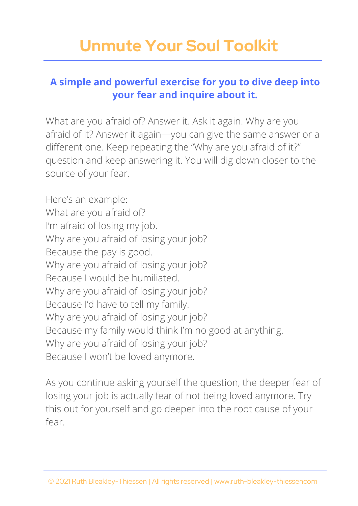#### **A simple and powerful exercise for you to dive deep into your fear and inquire about it.**

What are you afraid of? Answer it. Ask it again. Why are you afraid of it? Answer it again—you can give the same answer or a different one. Keep repeating the "Why are you afraid of it?" question and keep answering it. You will dig down closer to the source of your fear.

Here's an example: What are you afraid of? I'm afraid of losing my job. Why are you afraid of losing your job? Because the pay is good. Why are you afraid of losing your job? Because I would be humiliated. Why are you afraid of losing your job? Because I'd have to tell my family. Why are you afraid of losing your job? Because my family would think I'm no good at anything. Why are you afraid of losing your job? Because I won't be loved anymore.

As you continue asking yourself the question, the deeper fear of losing your job is actually fear of not being loved anymore. Try this out for yourself and go deeper into the root cause of your fear.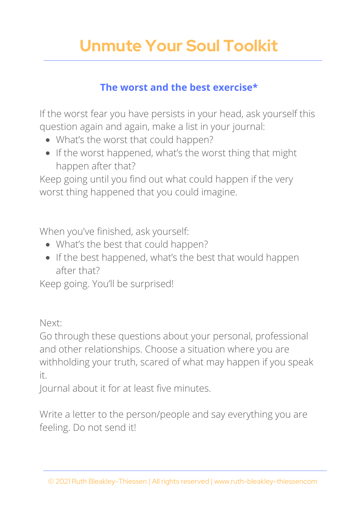#### **The worst and the best exercise\***

If the worst fear you have persists in your head, ask yourself this question again and again, make a list in your journal:

- What's the worst that could happen?
- If the worst happened, what's the worst thing that might happen after that?

Keep going until you find out what could happen if the very worst thing happened that you could imagine.

When you've finished, ask yourself:

- What's the best that could happen?
- If the best happened, what's the best that would happen after that?

Keep going. You'll be surprised!

Next:

Go through these questions about your personal, professional and other relationships. Choose a situation where you are withholding your truth, scared of what may happen if you speak it.

Journal about it for at least five minutes.

Write a letter to the person/people and say everything you are feeling. Do not send it!